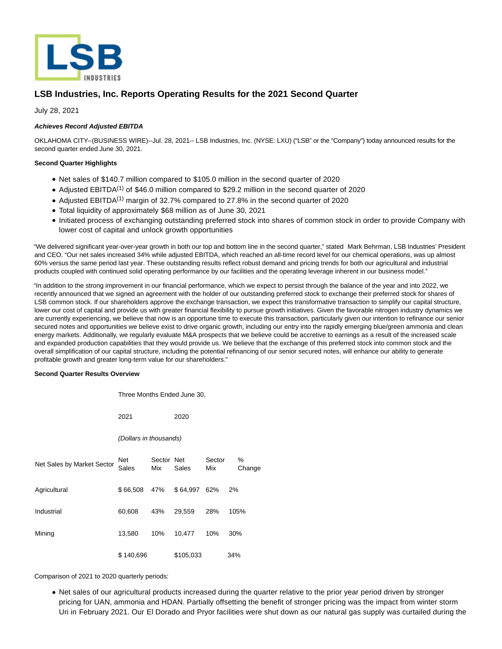

# **LSB Industries, Inc. Reports Operating Results for the 2021 Second Quarter**

July 28, 2021

# **Achieves Record Adjusted EBITDA**

OKLAHOMA CITY--(BUSINESS WIRE)--Jul. 28, 2021-- LSB Industries, Inc. (NYSE: LXU) ("LSB" or the "Company") today announced results for the second quarter ended June 30, 2021.

## **Second Quarter Highlights**

- Net sales of \$140.7 million compared to \$105.0 million in the second quarter of 2020
- Adjusted EBITDA<sup>(1)</sup> of \$46.0 million compared to \$29.2 million in the second quarter of 2020
- Adjusted EBITDA<sup>(1)</sup> margin of 32.7% compared to 27.8% in the second quarter of 2020
- Total liquidity of approximately \$68 million as of June 30, 2021
- Initiated process of exchanging outstanding preferred stock into shares of common stock in order to provide Company with lower cost of capital and unlock growth opportunities

"We delivered significant year-over-year growth in both our top and bottom line in the second quarter," stated Mark Behrman, LSB Industries' President and CEO. "Our net sales increased 34% while adjusted EBITDA, which reached an all-time record level for our chemical operations, was up almost 60% versus the same period last year. These outstanding results reflect robust demand and pricing trends for both our agricultural and industrial products coupled with continued solid operating performance by our facilities and the operating leverage inherent in our business model."

"In addition to the strong improvement in our financial performance, which we expect to persist through the balance of the year and into 2022, we recently announced that we signed an agreement with the holder of our outstanding preferred stock to exchange their preferred stock for shares of LSB common stock. If our shareholders approve the exchange transaction, we expect this transformative transaction to simplify our capital structure, lower our cost of capital and provide us with greater financial flexibility to pursue growth initiatives. Given the favorable nitrogen industry dynamics we are currently experiencing, we believe that now is an opportune time to execute this transaction, particularly given our intention to refinance our senior secured notes and opportunities we believe exist to drive organic growth, including our entry into the rapidly emerging blue/green ammonia and clean energy markets. Additionally, we regularly evaluate M&A prospects that we believe could be accretive to earnings as a result of the increased scale and expanded production capabilities that they would provide us. We believe that the exchange of this preferred stock into common stock and the overall simplification of our capital structure, including the potential refinancing of our senior secured notes, will enhance our ability to generate profitable growth and greater long-term value for our shareholders."

### **Second Quarter Results Overview**

|  | Three Months Ended June 30, |  |  |
|--|-----------------------------|--|--|
|  |                             |  |  |

2021 2020

(Dollars in thousands)

| Net Sales by Market Sector | Net<br>Sales | Sector Net<br>Mix | Sales     | Sector<br>Mix | ℅<br>Change |
|----------------------------|--------------|-------------------|-----------|---------------|-------------|
| Agricultural               | \$66,508     | 47%               | \$64,997  | 62%           | 2%          |
| Industrial                 | 60,608       | 43%               | 29,559    | 28%           | 105%        |
| Mining                     | 13,580       | 10%               | 10.477    | 10%           | 30%         |
|                            | \$140,696    |                   | \$105,033 |               | 34%         |

Comparison of 2021 to 2020 quarterly periods:

• Net sales of our agricultural products increased during the quarter relative to the prior year period driven by stronger pricing for UAN, ammonia and HDAN. Partially offsetting the benefit of stronger pricing was the impact from winter storm Uri in February 2021. Our El Dorado and Pryor facilities were shut down as our natural gas supply was curtailed during the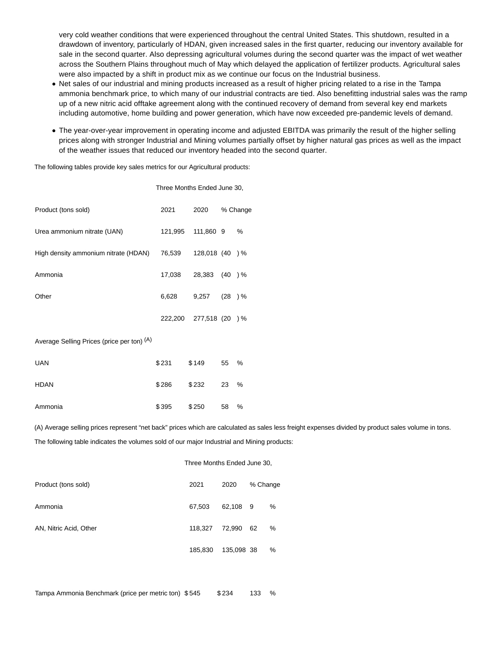very cold weather conditions that were experienced throughout the central United States. This shutdown, resulted in a drawdown of inventory, particularly of HDAN, given increased sales in the first quarter, reducing our inventory available for sale in the second quarter. Also depressing agricultural volumes during the second quarter was the impact of wet weather across the Southern Plains throughout much of May which delayed the application of fertilizer products. Agricultural sales were also impacted by a shift in product mix as we continue our focus on the Industrial business.

- Net sales of our industrial and mining products increased as a result of higher pricing related to a rise in the Tampa ammonia benchmark price, to which many of our industrial contracts are tied. Also benefitting industrial sales was the ramp up of a new nitric acid offtake agreement along with the continued recovery of demand from several key end markets including automotive, home building and power generation, which have now exceeded pre-pandemic levels of demand.
- The year-over-year improvement in operating income and adjusted EBITDA was primarily the result of the higher selling prices along with stronger Industrial and Mining volumes partially offset by higher natural gas prices as well as the impact of the weather issues that reduced our inventory headed into the second quarter.

The following tables provide key sales metrics for our Agricultural products:

| Three Months Ended June 30,                                                                                                                         |         |                 |      |          |  |  |  |  |
|-----------------------------------------------------------------------------------------------------------------------------------------------------|---------|-----------------|------|----------|--|--|--|--|
| Product (tons sold)                                                                                                                                 | 2021    | 2020            |      | % Change |  |  |  |  |
| Urea ammonium nitrate (UAN)                                                                                                                         | 121,995 | 111,860 9       |      | $\%$     |  |  |  |  |
| High density ammonium nitrate (HDAN)                                                                                                                | 76,539  | 128,018 (40 ) % |      |          |  |  |  |  |
| Ammonia                                                                                                                                             | 17,038  | 28,383 (40)%    |      |          |  |  |  |  |
| Other                                                                                                                                               | 6,628   | 9,257           |      | $(28)$ % |  |  |  |  |
|                                                                                                                                                     | 222,200 | 277,518 (20) %  |      |          |  |  |  |  |
| Average Selling Prices (price per ton) (A)                                                                                                          |         |                 |      |          |  |  |  |  |
| <b>UAN</b>                                                                                                                                          | \$231   | \$149           | 55 % |          |  |  |  |  |
| <b>HDAN</b>                                                                                                                                         | \$286   | \$232           | 23   | %        |  |  |  |  |
| Ammonia                                                                                                                                             | \$395   | \$250           | 58   | %        |  |  |  |  |
| (A) Average selling prices represent "net back" prices which are calculated as sales less freight expenses divided by product sales volume in tons. |         |                 |      |          |  |  |  |  |
| The following table indicates the volumes sold of our major Industrial and Mining products:                                                         |         |                 |      |          |  |  |  |  |

|                        |         | Three Months Ended June 30, |          |      |  |
|------------------------|---------|-----------------------------|----------|------|--|
| Product (tons sold)    | 2021    | 2020                        | % Change |      |  |
| Ammonia                | 67,503  | 62,108 9                    |          | %    |  |
| AN, Nitric Acid, Other | 118,327 | 72,990                      | 62       | $\%$ |  |
|                        | 185,830 | 135,098 38                  |          | %    |  |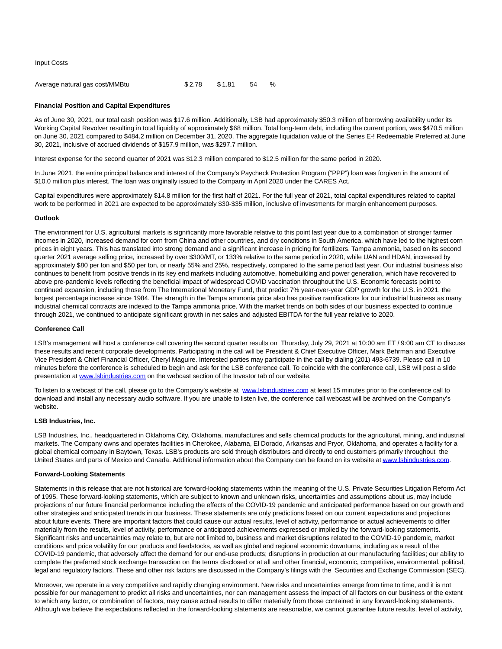Input Costs

| Average natural gas cost/MMBtu | $$2.78$ $$1.81$ | 54 | $\%$ |
|--------------------------------|-----------------|----|------|
|                                |                 |    |      |

#### **Financial Position and Capital Expenditures**

As of June 30, 2021, our total cash position was \$17.6 million. Additionally, LSB had approximately \$50.3 million of borrowing availability under its Working Capital Revolver resulting in total liquidity of approximately \$68 million. Total long-term debt, including the current portion, was \$470.5 million on June 30, 2021 compared to \$484.2 million on December 31, 2020. The aggregate liquidation value of the Series E-! Redeemable Preferred at June 30, 2021, inclusive of accrued dividends of \$157.9 million, was \$297.7 million.

Interest expense for the second quarter of 2021 was \$12.3 million compared to \$12.5 million for the same period in 2020.

In June 2021, the entire principal balance and interest of the Company's Paycheck Protection Program ("PPP") loan was forgiven in the amount of \$10.0 million plus interest. The loan was originally issued to the Company in April 2020 under the CARES Act.

Capital expenditures were approximately \$14.8 million for the first half of 2021. For the full year of 2021, total capital expenditures related to capital work to be performed in 2021 are expected to be approximately \$30-\$35 million, inclusive of investments for margin enhancement purposes.

#### **Outlook**

The environment for U.S. agricultural markets is significantly more favorable relative to this point last year due to a combination of stronger farmer incomes in 2020, increased demand for corn from China and other countries, and dry conditions in South America, which have led to the highest corn prices in eight years. This has translated into strong demand and a significant increase in pricing for fertilizers. Tampa ammonia, based on its second quarter 2021 average selling price, increased by over \$300/MT, or 133% relative to the same period in 2020, while UAN and HDAN, increased by approximately \$80 per ton and \$50 per ton, or nearly 55% and 25%, respectively, compared to the same period last year. Our industrial business also continues to benefit from positive trends in its key end markets including automotive, homebuilding and power generation, which have recovered to above pre-pandemic levels reflecting the beneficial impact of widespread COVID vaccination throughout the U.S. Economic forecasts point to continued expansion, including those from The International Monetary Fund, that predict 7% year-over-year GDP growth for the U.S. in 2021, the largest percentage increase since 1984. The strength in the Tampa ammonia price also has positive ramifications for our industrial business as many industrial chemical contracts are indexed to the Tampa ammonia price. With the market trends on both sides of our business expected to continue through 2021, we continued to anticipate significant growth in net sales and adjusted EBITDA for the full year relative to 2020.

#### **Conference Call**

LSB's management will host a conference call covering the second quarter results on Thursday, July 29, 2021 at 10:00 am ET / 9:00 am CT to discuss these results and recent corporate developments. Participating in the call will be President & Chief Executive Officer, Mark Behrman and Executive Vice President & Chief Financial Officer, Cheryl Maguire. Interested parties may participate in the call by dialing (201) 493-6739. Please call in 10 minutes before the conference is scheduled to begin and ask for the LSB conference call. To coincide with the conference call, LSB will post a slide presentation at [www.lsbindustries.com o](https://cts.businesswire.com/ct/CT?id=smartlink&url=http%3A%2F%2Fwww.lsbindustries.com&esheet=52467809&newsitemid=20210728005992&lan=en-US&anchor=www.lsbindustries.com&index=1&md5=be2c8a2ec4f86a642071ffbf3054ebd3)n the webcast section of the Investor tab of our website.

To listen to a webcast of the call, please go to the Company's website at [www.lsbindustries.com a](https://cts.businesswire.com/ct/CT?id=smartlink&url=http%3A%2F%2Fwww.lsbindustries.com&esheet=52467809&newsitemid=20210728005992&lan=en-US&anchor=www.lsbindustries.com&index=2&md5=f20edacb19bc26d3371742db07d73951)t least 15 minutes prior to the conference call to download and install any necessary audio software. If you are unable to listen live, the conference call webcast will be archived on the Company's website.

#### **LSB Industries, Inc.**

LSB Industries, Inc., headquartered in Oklahoma City, Oklahoma, manufactures and sells chemical products for the agricultural, mining, and industrial markets. The Company owns and operates facilities in Cherokee, Alabama, El Dorado, Arkansas and Pryor, Oklahoma, and operates a facility for a global chemical company in Baytown, Texas. LSB's products are sold through distributors and directly to end customers primarily throughout the United States and parts of Mexico and Canada. Additional information about the Company can be found on its website a[t www.lsbindustries.com.](https://cts.businesswire.com/ct/CT?id=smartlink&url=http%3A%2F%2Fwww.lsbindustries.com&esheet=52467809&newsitemid=20210728005992&lan=en-US&anchor=www.lsbindustries.com&index=3&md5=94c332793cb3800171d163109460886d)

#### **Forward-Looking Statements**

Statements in this release that are not historical are forward-looking statements within the meaning of the U.S. Private Securities Litigation Reform Act of 1995. These forward-looking statements, which are subject to known and unknown risks, uncertainties and assumptions about us, may include projections of our future financial performance including the effects of the COVID-19 pandemic and anticipated performance based on our growth and other strategies and anticipated trends in our business. These statements are only predictions based on our current expectations and projections about future events. There are important factors that could cause our actual results, level of activity, performance or actual achievements to differ materially from the results, level of activity, performance or anticipated achievements expressed or implied by the forward-looking statements. Significant risks and uncertainties may relate to, but are not limited to, business and market disruptions related to the COVID-19 pandemic, market conditions and price volatility for our products and feedstocks, as well as global and regional economic downturns, including as a result of the COVID-19 pandemic, that adversely affect the demand for our end-use products; disruptions in production at our manufacturing facilities; our ability to complete the preferred stock exchange transaction on the terms disclosed or at all and other financial, economic, competitive, environmental, political, legal and regulatory factors. These and other risk factors are discussed in the Company's filings with the Securities and Exchange Commission (SEC).

Moreover, we operate in a very competitive and rapidly changing environment. New risks and uncertainties emerge from time to time, and it is not possible for our management to predict all risks and uncertainties, nor can management assess the impact of all factors on our business or the extent to which any factor, or combination of factors, may cause actual results to differ materially from those contained in any forward-looking statements. Although we believe the expectations reflected in the forward-looking statements are reasonable, we cannot guarantee future results, level of activity,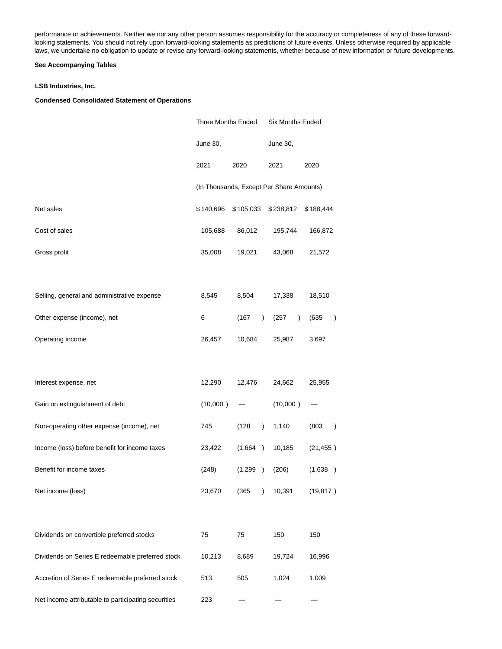performance or achievements. Neither we nor any other person assumes responsibility for the accuracy or completeness of any of these forwardlooking statements. You should not rely upon forward-looking statements as predictions of future events. Unless otherwise required by applicable laws, we undertake no obligation to update or revise any forward-looking statements, whether because of new information or future developments.

### **See Accompanying Tables**

#### **LSB Industries, Inc.**

# **Condensed Consolidated Statement of Operations**

|                                                     | <b>Three Months Ended</b> |                        | Six Months Ended                         |                        |  |
|-----------------------------------------------------|---------------------------|------------------------|------------------------------------------|------------------------|--|
|                                                     | June 30,                  |                        | June 30,                                 |                        |  |
|                                                     | 2021                      | 2020                   | 2021                                     | 2020                   |  |
|                                                     |                           |                        | (In Thousands, Except Per Share Amounts) |                        |  |
| Net sales                                           | \$140,696                 | \$105,033              | \$238,812                                | \$188,444              |  |
| Cost of sales                                       | 105,688                   | 86,012                 | 195,744                                  | 166,872                |  |
| Gross profit                                        | 35,008                    | 19,021                 | 43,068                                   | 21,572                 |  |
|                                                     |                           |                        |                                          |                        |  |
| Selling, general and administrative expense         | 8,545                     | 8,504                  | 17,338                                   | 18,510                 |  |
| Other expense (income), net                         | 6                         | (167)<br>$\mathcal{L}$ | (257)<br>$\mathcal{L}$                   | (635)<br>$\mathcal{L}$ |  |
| Operating income                                    | 26,457                    | 10,684                 | 25,987                                   | 3,697                  |  |
|                                                     |                           |                        |                                          |                        |  |
| Interest expense, net                               | 12,290                    | 12,476                 | 24,662                                   | 25,955                 |  |
| Gain on extinguishment of debt                      | (10,000)                  |                        | (10,000)                                 |                        |  |
| Non-operating other expense (income), net           | 745                       | (128)<br>$\mathcal{L}$ | 1,140                                    | (803)<br>$\mathcal{C}$ |  |
| Income (loss) before benefit for income taxes       | 23,422                    | (1,664)                | 10,185                                   | (21, 455)              |  |
| Benefit for income taxes                            | (248)                     | (1,299)<br>$\lambda$   | (206)                                    | (1,638)                |  |
| Net income (loss)                                   | 23,670                    | (365)<br>$\mathcal{E}$ | 10,391                                   | (19, 817)              |  |
|                                                     |                           |                        |                                          |                        |  |
| Dividends on convertible preferred stocks           | 75                        | 75                     | 150                                      | 150                    |  |
| Dividends on Series E redeemable preferred stock    | 10,213                    | 8,689                  | 19,724                                   | 16,996                 |  |
| Accretion of Series E redeemable preferred stock    | 513                       | 505                    | 1,024                                    | 1,009                  |  |
| Net income attributable to participating securities | 223                       |                        |                                          |                        |  |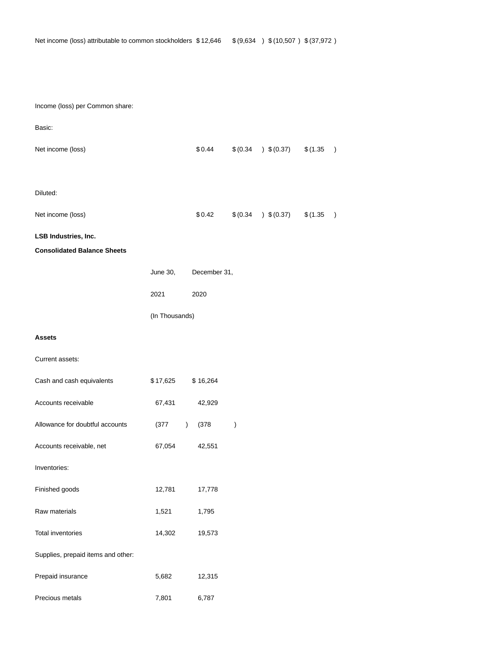Income (loss) per Common share:

| Basic:                             |                |                  |              |               |                     |          |               |
|------------------------------------|----------------|------------------|--------------|---------------|---------------------|----------|---------------|
| Net income (loss)                  |                |                  | \$0.44       |               | $$(0.34)$ $$(0.37)$ | \$(1.35) | $\mathcal{E}$ |
|                                    |                |                  |              |               |                     |          |               |
| Diluted:                           |                |                  |              |               |                     |          |               |
| Net income (loss)                  |                |                  | \$0.42       |               | $$(0.34)$ $$(0.37)$ | \$(1.35) | $\mathcal{E}$ |
| LSB Industries, Inc.               |                |                  |              |               |                     |          |               |
| <b>Consolidated Balance Sheets</b> |                |                  |              |               |                     |          |               |
|                                    | June 30,       |                  | December 31, |               |                     |          |               |
|                                    | 2021           |                  | 2020         |               |                     |          |               |
|                                    | (In Thousands) |                  |              |               |                     |          |               |
| <b>Assets</b>                      |                |                  |              |               |                     |          |               |
| Current assets:                    |                |                  |              |               |                     |          |               |
| Cash and cash equivalents          | \$17,625       |                  | \$16,264     |               |                     |          |               |
| Accounts receivable                | 67,431         |                  | 42,929       |               |                     |          |               |
| Allowance for doubtful accounts    | (377)          | $\left( \right)$ | (378)        | $\mathcal{E}$ |                     |          |               |
| Accounts receivable, net           | 67,054         |                  | 42,551       |               |                     |          |               |
| Inventories:                       |                |                  |              |               |                     |          |               |
| Finished goods                     | 12,781         |                  | 17,778       |               |                     |          |               |
| Raw materials                      | 1,521          |                  | 1,795        |               |                     |          |               |
| <b>Total inventories</b>           | 14,302         |                  | 19,573       |               |                     |          |               |
| Supplies, prepaid items and other: |                |                  |              |               |                     |          |               |
| Prepaid insurance                  | 5,682          |                  | 12,315       |               |                     |          |               |
| Precious metals                    | 7,801          |                  | 6,787        |               |                     |          |               |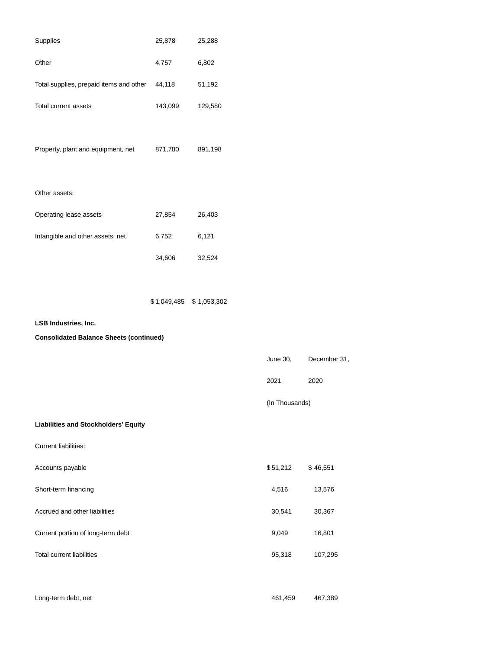| Supplies                                       | 25,878      | 25,288      |                |          |
|------------------------------------------------|-------------|-------------|----------------|----------|
| Other                                          | 4,757       | 6,802       |                |          |
| Total supplies, prepaid items and other        | 44,118      | 51,192      |                |          |
| Total current assets                           | 143,099     | 129,580     |                |          |
|                                                |             |             |                |          |
| Property, plant and equipment, net             | 871,780     | 891,198     |                |          |
|                                                |             |             |                |          |
| Other assets:                                  |             |             |                |          |
| Operating lease assets                         | 27,854      | 26,403      |                |          |
| Intangible and other assets, net               | 6,752       | 6,121       |                |          |
|                                                | 34,606      | 32,524      |                |          |
|                                                |             |             |                |          |
|                                                | \$1,049,485 | \$1,053,302 |                |          |
| LSB Industries, Inc.                           |             |             |                |          |
|                                                |             |             |                |          |
| <b>Consolidated Balance Sheets (continued)</b> |             |             |                |          |
|                                                |             |             | June 30,       | December |
|                                                |             |             | 2021           | 2020     |
|                                                |             |             | (In Thousands) |          |
| <b>Liabilities and Stockholders' Equity</b>    |             |             |                |          |
| Current liabilities:                           |             |             |                |          |
| Accounts payable                               |             |             | \$51,212       | \$46,551 |
| Short-term financing                           |             |             | 4,516          | 13,576   |
| Accrued and other liabilities                  |             |             | 30,541         | 30,367   |
| Current portion of long-term debt              |             |             | 9,049          | 16,801   |
| <b>Total current liabilities</b>               |             |             | 95,318         | 107,295  |

December 31,

| Long-term debt, net | 461.459 | 467,389 |
|---------------------|---------|---------|
|---------------------|---------|---------|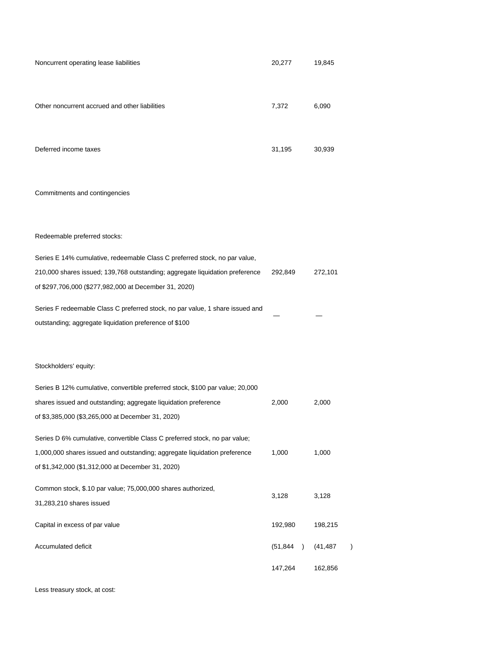| Noncurrent operating lease liabilities                                                                                                                                                                              | 20,277                     | 19,845                     |
|---------------------------------------------------------------------------------------------------------------------------------------------------------------------------------------------------------------------|----------------------------|----------------------------|
| Other noncurrent accrued and other liabilities                                                                                                                                                                      | 7,372                      | 6,090                      |
| Deferred income taxes                                                                                                                                                                                               | 31,195                     | 30,939                     |
| Commitments and contingencies                                                                                                                                                                                       |                            |                            |
| Redeemable preferred stocks:                                                                                                                                                                                        |                            |                            |
| Series E 14% cumulative, redeemable Class C preferred stock, no par value,<br>210,000 shares issued; 139,768 outstanding; aggregate liquidation preference<br>of \$297,706,000 (\$277,982,000 at December 31, 2020) | 292,849                    | 272,101                    |
| Series F redeemable Class C preferred stock, no par value, 1 share issued and<br>outstanding; aggregate liquidation preference of \$100                                                                             |                            |                            |
| Stockholders' equity:                                                                                                                                                                                               |                            |                            |
| Series B 12% cumulative, convertible preferred stock, \$100 par value; 20,000<br>shares issued and outstanding; aggregate liquidation preference<br>of \$3,385,000 (\$3,265,000 at December 31, 2020)               | 2,000                      | 2,000                      |
| Series D 6% cumulative, convertible Class C preferred stock, no par value;<br>1,000,000 shares issued and outstanding; aggregate liquidation preference<br>of \$1,342,000 (\$1,312,000 at December 31, 2020)        | 1,000                      | 1,000                      |
| Common stock, \$.10 par value; 75,000,000 shares authorized,<br>31,283,210 shares issued                                                                                                                            | 3,128                      | 3,128                      |
| Capital in excess of par value                                                                                                                                                                                      | 192,980                    | 198,215                    |
| Accumulated deficit                                                                                                                                                                                                 | (51, 844)<br>$\rightarrow$ | (41, 487)<br>$\mathcal{E}$ |
|                                                                                                                                                                                                                     | 147,264                    | 162,856                    |

Less treasury stock, at cost: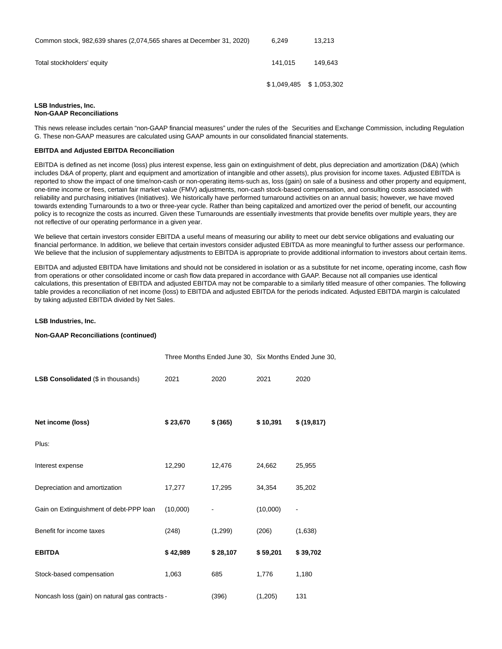| Common stock, 982,639 shares (2,074,565 shares at December 31, 2020) | 6.249                   | 13.213  |
|----------------------------------------------------------------------|-------------------------|---------|
| Total stockholders' equity                                           | 141.015                 | 149.643 |
|                                                                      | \$1,049,485 \$1,053,302 |         |

# **LSB Industries, Inc.**

# **Non-GAAP Reconciliations**

This news release includes certain "non-GAAP financial measures" under the rules of the Securities and Exchange Commission, including Regulation G. These non-GAAP measures are calculated using GAAP amounts in our consolidated financial statements.

### **EBITDA and Adjusted EBITDA Reconciliation**

EBITDA is defined as net income (loss) plus interest expense, less gain on extinguishment of debt, plus depreciation and amortization (D&A) (which includes D&A of property, plant and equipment and amortization of intangible and other assets), plus provision for income taxes. Adjusted EBITDA is reported to show the impact of one time/non-cash or non-operating items-such as, loss (gain) on sale of a business and other property and equipment, one-time income or fees, certain fair market value (FMV) adjustments, non-cash stock-based compensation, and consulting costs associated with reliability and purchasing initiatives (Initiatives). We historically have performed turnaround activities on an annual basis; however, we have moved towards extending Turnarounds to a two or three-year cycle. Rather than being capitalized and amortized over the period of benefit, our accounting policy is to recognize the costs as incurred. Given these Turnarounds are essentially investments that provide benefits over multiple years, they are not reflective of our operating performance in a given year.

We believe that certain investors consider EBITDA a useful means of measuring our ability to meet our debt service obligations and evaluating our financial performance. In addition, we believe that certain investors consider adjusted EBITDA as more meaningful to further assess our performance. We believe that the inclusion of supplementary adjustments to EBITDA is appropriate to provide additional information to investors about certain items.

EBITDA and adjusted EBITDA have limitations and should not be considered in isolation or as a substitute for net income, operating income, cash flow from operations or other consolidated income or cash flow data prepared in accordance with GAAP. Because not all companies use identical calculations, this presentation of EBITDA and adjusted EBITDA may not be comparable to a similarly titled measure of other companies. The following table provides a reconciliation of net income (loss) to EBITDA and adjusted EBITDA for the periods indicated. Adjusted EBITDA margin is calculated by taking adjusted EBITDA divided by Net Sales.

### **LSB Industries, Inc.**

### **Non-GAAP Reconciliations (continued)**

|                                                |          | Three Months Ended June 30, Six Months Ended June 30, |          |              |
|------------------------------------------------|----------|-------------------------------------------------------|----------|--------------|
| <b>LSB Consolidated (\$ in thousands)</b>      | 2021     | 2020                                                  | 2021     | 2020         |
| Net income (loss)                              | \$23,670 | \$ (365)                                              | \$10,391 | \$ (19, 817) |
| Plus:                                          |          |                                                       |          |              |
| Interest expense                               | 12,290   | 12,476                                                | 24,662   | 25,955       |
| Depreciation and amortization                  | 17,277   | 17,295                                                | 34,354   | 35,202       |
| Gain on Extinguishment of debt-PPP loan        | (10,000) |                                                       | (10,000) |              |
| Benefit for income taxes                       | (248)    | (1,299)                                               | (206)    | (1,638)      |
| <b>EBITDA</b>                                  | \$42,989 | \$28,107                                              | \$59,201 | \$39,702     |
| Stock-based compensation                       | 1,063    | 685                                                   | 1,776    | 1,180        |
| Noncash loss (gain) on natural gas contracts - |          | (396)                                                 | (1,205)  | 131          |